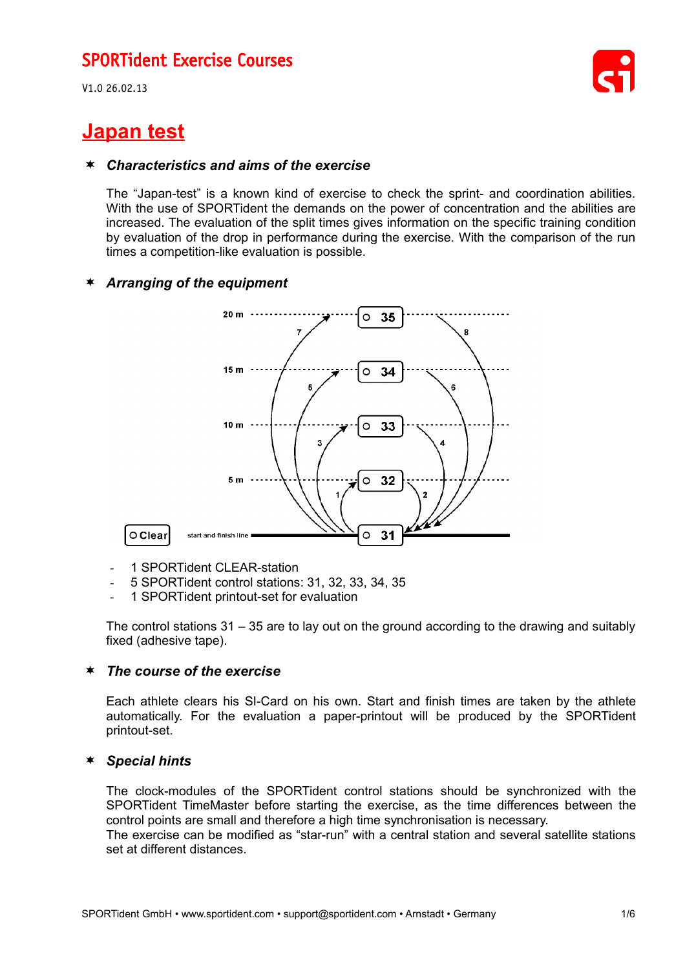V1.0 26.02.13

# **Japan test**

#### *Characteristics and aims of the exercise*

The "Japan-test" is a known kind of exercise to check the sprint- and coordination abilities. With the use of SPORTident the demands on the power of concentration and the abilities are increased. The evaluation of the split times gives information on the specific training condition by evaluation of the drop in performance during the exercise. With the comparison of the run times a competition-like evaluation is possible.

### *Arranging of the equipment*



- 1 SPORTident CLEAR-station
- 5 SPORTident control stations: 31, 32, 33, 34, 35
- 1 SPORTident printout-set for evaluation

The control stations 31 – 35 are to lay out on the ground according to the drawing and suitably fixed (adhesive tape).

#### *The course of the exercise*

Each athlete clears his SI-Card on his own. Start and finish times are taken by the athlete automatically. For the evaluation a paper-printout will be produced by the SPORTident printout-set.

#### *Special hints*

The clock-modules of the SPORTident control stations should be synchronized with the SPORTident TimeMaster before starting the exercise, as the time differences between the control points are small and therefore a high time synchronisation is necessary.

The exercise can be modified as "star-run" with a central station and several satellite stations set at different distances.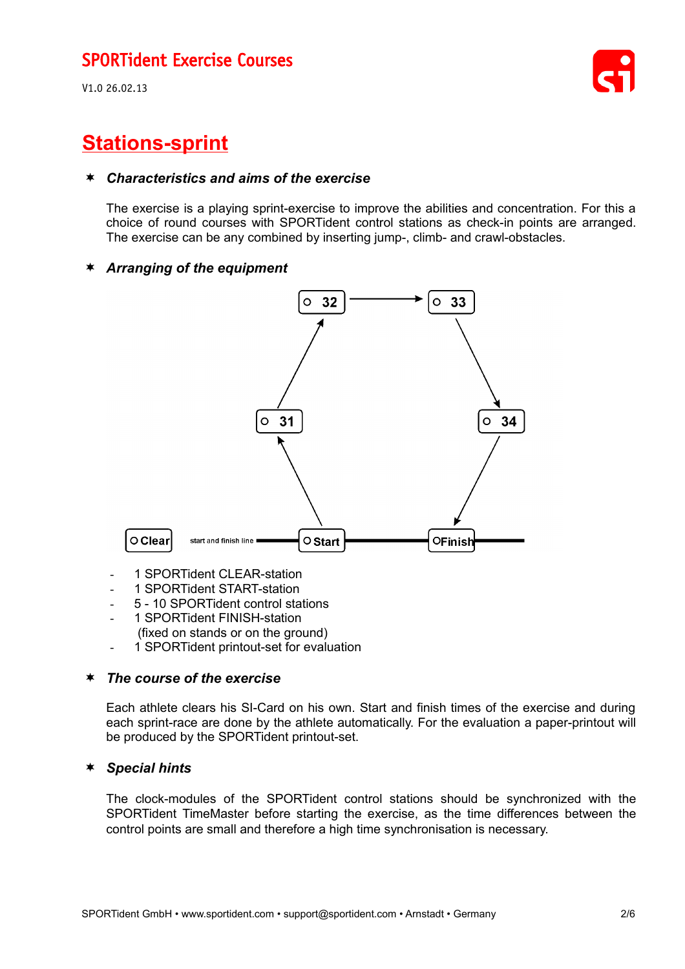V1.0 26.02.13



# **Stations-sprint**

#### *Characteristics and aims of the exercise*

The exercise is a playing sprint-exercise to improve the abilities and concentration. For this a choice of round courses with SPORTident control stations as check-in points are arranged. The exercise can be any combined by inserting jump-, climb- and crawl-obstacles.

#### *Arranging of the equipment*



- 1 SPORTident CLEAR-station
- 1 SPORTident START-station
- 5 10 SPORTident control stations
- 1 SPORTident FINISH-station
- (fixed on stands or on the ground)
- 1 SPORTident printout-set for evaluation

#### *The course of the exercise*

Each athlete clears his SI-Card on his own. Start and finish times of the exercise and during each sprint-race are done by the athlete automatically. For the evaluation a paper-printout will be produced by the SPORTident printout-set.

#### *Special hints*

The clock-modules of the SPORTident control stations should be synchronized with the SPORTident TimeMaster before starting the exercise, as the time differences between the control points are small and therefore a high time synchronisation is necessary.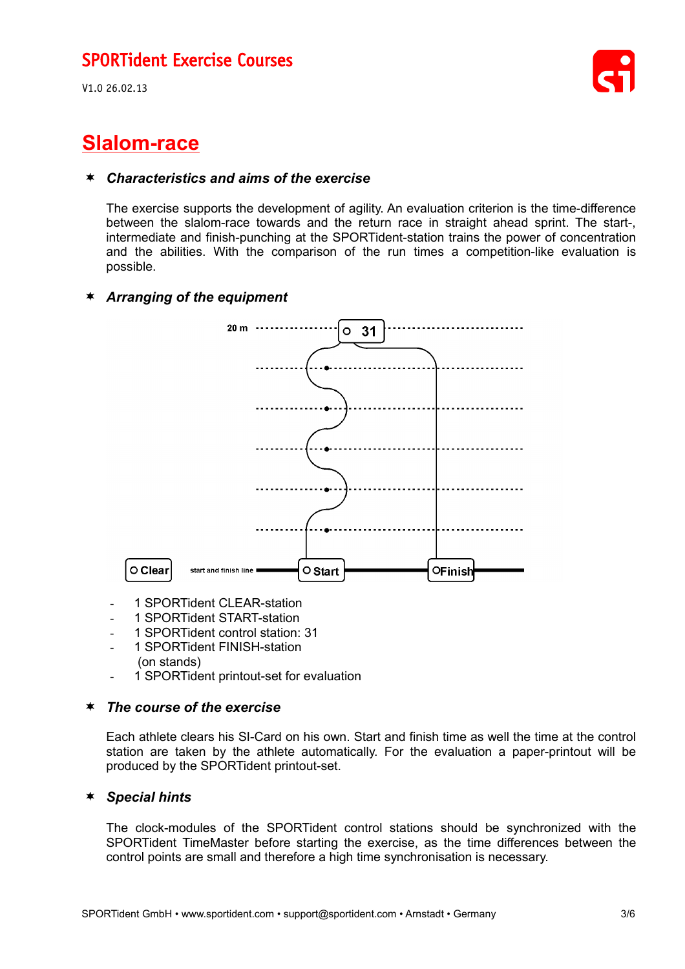V1.0 26.02.13



# **Slalom-race**

#### *Characteristics and aims of the exercise*

The exercise supports the development of agility. An evaluation criterion is the time-difference between the slalom-race towards and the return race in straight ahead sprint. The start-, intermediate and finish-punching at the SPORTident-station trains the power of concentration and the abilities. With the comparison of the run times a competition-like evaluation is possible.

#### *Arranging of the equipment*



- 1 SPORTident CLEAR-station
- 1 SPORTident START-station
- 1 SPORTident control station: 31
- 1 SPORTident FINISH-station
- (on stands)
- 1 SPORTident printout-set for evaluation

#### *The course of the exercise*

Each athlete clears his SI-Card on his own. Start and finish time as well the time at the control station are taken by the athlete automatically. For the evaluation a paper-printout will be produced by the SPORTident printout-set.

#### *Special hints*

The clock-modules of the SPORTident control stations should be synchronized with the SPORTident TimeMaster before starting the exercise, as the time differences between the control points are small and therefore a high time synchronisation is necessary.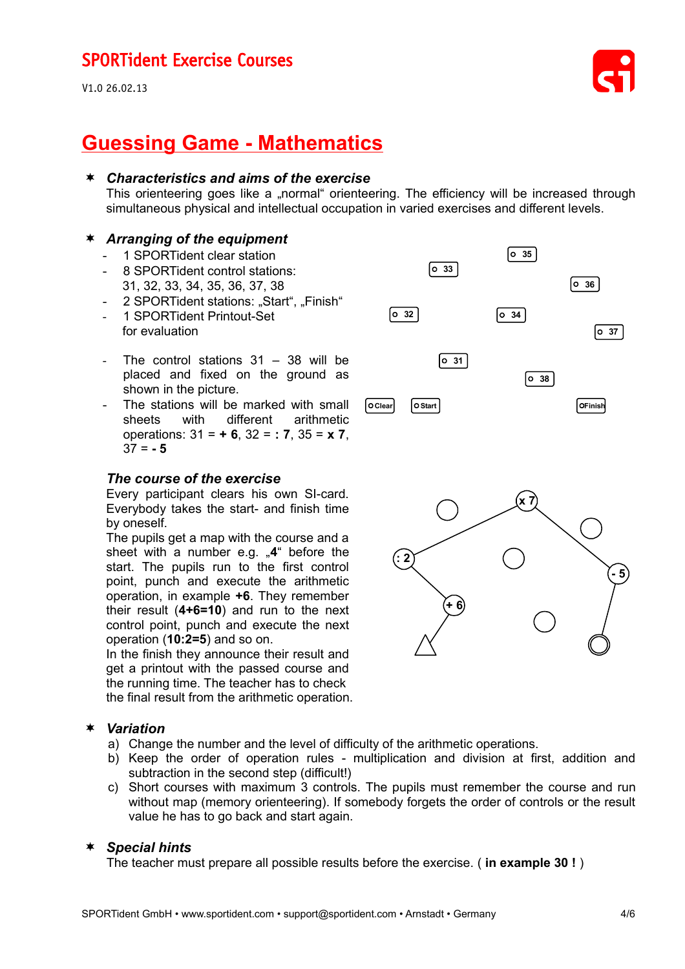V1.0 26.02.13



# **Guessing Game - Mathematics**

#### *Characteristics and aims of the exercise*

This orienteering goes like a "normal" orienteering. The efficiency will be increased through simultaneous physical and intellectual occupation in varied exercises and different levels.

#### *Arranging of the equipment*

- 1 SPORTident clear station
- 8 SPORTident control stations:
- 31, 32, 33, 34, 35, 36, 37, 38
- 2 SPORTident stations: "Start", "Finish"
- 1 SPORTident Printout-Set for evaluation
- The control stations  $31 38$  will be placed and fixed on the ground as shown in the picture.
- The stations will be marked with small sheets with different arithmetic operations: 31 = **+ 6**, 32 = **: 7**, 35 = **x 7**,  $37 = -5$

#### *The course of the exercise*

Every participant clears his own SI-card. Everybody takes the start- and finish time by oneself.

The pupils get a map with the course and a sheet with a number e.g. "4" before the start. The pupils run to the first control point, punch and execute the arithmetic operation, in example **+6**. They remember their result (**4+6=10**) and run to the next control point, punch and execute the next operation (**10:2=5**) and so on.

In the finish they announce their result and get a printout with the passed course and the running time. The teacher has to check the final result from the arithmetic operation.

#### *Variation*

- a) Change the number and the level of difficulty of the arithmetic operations.
- b) Keep the order of operation rules multiplication and division at first, addition and subtraction in the second step (difficult!)
- c) Short courses with maximum 3 controls. The pupils must remember the course and run without map (memory orienteering). If somebody forgets the order of controls or the result value he has to go back and start again.

#### *Special hints*

The teacher must prepare all possible results before the exercise. ( **in example 30 !** )

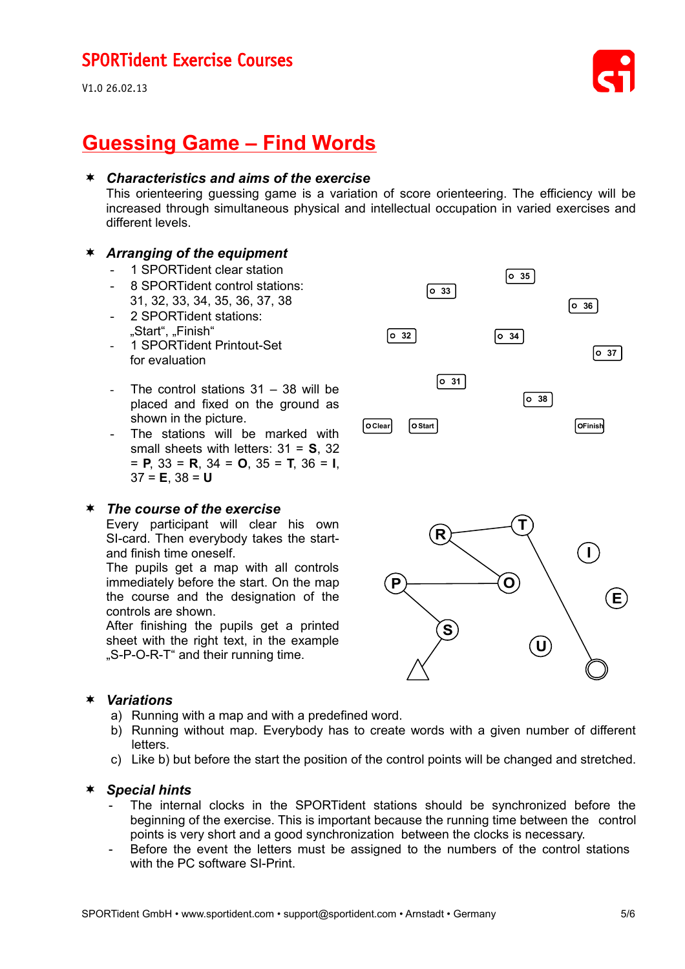V1.0 26.02.13



# **Guessing Game – Find Words**

#### *Characteristics and aims of the exercise*

This orienteering guessing game is a variation of score orienteering. The efficiency will be increased through simultaneous physical and intellectual occupation in varied exercises and different levels.

 $\begin{bmatrix} 0 & 32 \end{bmatrix}$ 

#### *Arranging of the equipment*

- 1 SPORTident clear station
- 8 SPORTident control stations: 31, 32, 33, 34, 35, 36, 37, 38
- 2 SPORTident stations: "Start", "Finish"
- 1 SPORTident Printout-Set for evaluation
- The control stations  $31 38$  will be placed and fixed on the ground as shown in the picture.
- The stations will be marked with small sheets with letters: 31 = **S**, 32 = **P**, 33 = **R**, 34 = **O**, 35 = **T**, 36 = **I**, 37 = **E**, 38 = **U**

#### *The course of the exercise*

Every participant will clear his own SI-card. Then everybody takes the startand finish time oneself.

The pupils get a map with all controls immediately before the start. On the map the course and the designation of the controls are shown.

After finishing the pupils get a printed sheet with the right text, in the example .S-P-O-R-T" and their running time.



**Clear Start Finish**

 $\begin{bmatrix} 0 & 31 \end{bmatrix}$ 

 $\begin{bmatrix} 0 & 33 \end{bmatrix}$ 

 $\boxed{\circ 34}$ 

 $\begin{bmatrix} 0 & 35 \end{bmatrix}$ 

**38**

**36**

**37**

#### *Variations*

- a) Running with a map and with a predefined word.
- b) Running without map. Everybody has to create words with a given number of different letters.
- c) Like b) but before the start the position of the control points will be changed and stretched.

#### *Special hints*

- The internal clocks in the SPORTident stations should be synchronized before the beginning of the exercise. This is important because the running time between the control points is very short and a good synchronization between the clocks is necessary.
- Before the event the letters must be assigned to the numbers of the control stations with the PC software SI-Print.